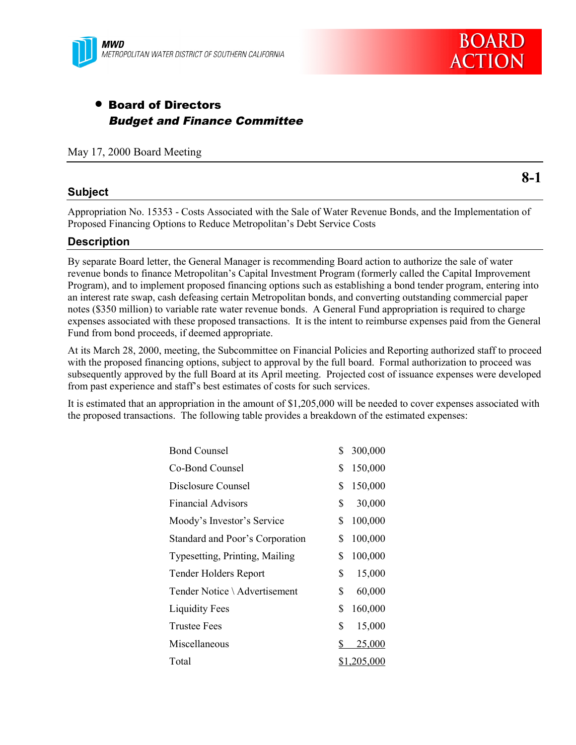

# • Board of Directors Budget and Finance Committee

May 17, 2000 Board Meeting

### **Subject**

Appropriation No. 15353 - Costs Associated with the Sale of Water Revenue Bonds, and the Implementation of Proposed Financing Options to Reduce Metropolitan's Debt Service Costs

### **Description**

By separate Board letter, the General Manager is recommending Board action to authorize the sale of water revenue bonds to finance Metropolitan's Capital Investment Program (formerly called the Capital Improvement Program), and to implement proposed financing options such as establishing a bond tender program, entering into an interest rate swap, cash defeasing certain Metropolitan bonds, and converting outstanding commercial paper notes (\$350 million) to variable rate water revenue bonds. A General Fund appropriation is required to charge expenses associated with these proposed transactions. It is the intent to reimburse expenses paid from the General Fund from bond proceeds, if deemed appropriate.

At its March 28, 2000, meeting, the Subcommittee on Financial Policies and Reporting authorized staff to proceed with the proposed financing options, subject to approval by the full board. Formal authorization to proceed was subsequently approved by the full Board at its April meeting. Projected cost of issuance expenses were developed from past experience and staff's best estimates of costs for such services.

It is estimated that an appropriation in the amount of \$1,205,000 will be needed to cover expenses associated with the proposed transactions. The following table provides a breakdown of the estimated expenses:

| <b>Bond Counsel</b>             | \$<br>300,000 |
|---------------------------------|---------------|
| Co-Bond Counsel                 | \$<br>150,000 |
| Disclosure Counsel              | \$<br>150,000 |
| <b>Financial Advisors</b>       | \$<br>30,000  |
| Moody's Investor's Service      | \$<br>100,000 |
| Standard and Poor's Corporation | \$<br>100,000 |
| Typesetting, Printing, Mailing  | \$<br>100,000 |
| <b>Tender Holders Report</b>    | \$<br>15,000  |
| Tender Notice \ Advertisement   | \$<br>60,000  |
| <b>Liquidity Fees</b>           | \$<br>160,000 |
| <b>Trustee Fees</b>             | \$<br>15,000  |
| Miscellaneous                   | \$<br>25,000  |
| Total                           | \$1,205,000   |

**8-1**